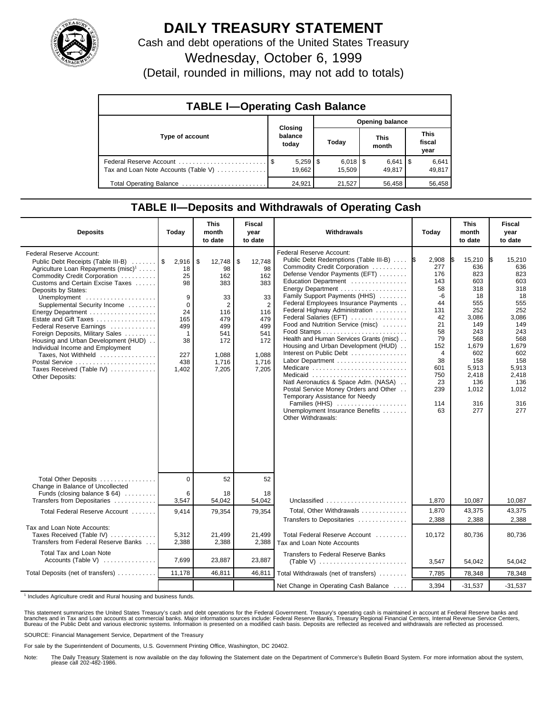

## **DAILY TREASURY STATEMENT**

Cash and debt operations of the United States Treasury

Wednesday, October 6, 1999

(Detail, rounded in millions, may not add to totals)

| <b>TABLE I-Operating Cash Balance</b> |  |                              |  |                                 |  |                      |  |                               |  |
|---------------------------------------|--|------------------------------|--|---------------------------------|--|----------------------|--|-------------------------------|--|
|                                       |  | Opening balance              |  |                                 |  |                      |  |                               |  |
| Type of account                       |  | Closing<br>balance<br>today  |  | Today                           |  | <b>This</b><br>month |  | <b>This</b><br>fiscal<br>year |  |
| Tax and Loan Note Accounts (Table V)  |  | $5,259$ $\sqrt{5}$<br>19,662 |  | $6,018$ $\frac{1}{3}$<br>15.509 |  | $6,641$ S<br>49.817  |  | 6,641<br>49,817               |  |
| Total Operating Balance               |  | 24,921                       |  | 21,527                          |  | 56,458               |  | 56.458                        |  |

## **TABLE II—Deposits and Withdrawals of Operating Cash**

| <b>Deposits</b>                                                                                                                                                                                                                                                                                                                                                                                                                                                                                                           | Today                                                                                                       | <b>This</b><br>month<br>to date                                                                                        | <b>Fiscal</b><br>year<br>to date                                                                                       | Withdrawals                                                                                                                                                                                                                                                                                                                                                                                                                                                                                                                                                                                                                                                                                                      | Today                                                                                                                                                | <b>This</b><br>month<br>to date                                                                                                                                    | <b>Fiscal</b><br>year<br>to date                                                                                                                                   |
|---------------------------------------------------------------------------------------------------------------------------------------------------------------------------------------------------------------------------------------------------------------------------------------------------------------------------------------------------------------------------------------------------------------------------------------------------------------------------------------------------------------------------|-------------------------------------------------------------------------------------------------------------|------------------------------------------------------------------------------------------------------------------------|------------------------------------------------------------------------------------------------------------------------|------------------------------------------------------------------------------------------------------------------------------------------------------------------------------------------------------------------------------------------------------------------------------------------------------------------------------------------------------------------------------------------------------------------------------------------------------------------------------------------------------------------------------------------------------------------------------------------------------------------------------------------------------------------------------------------------------------------|------------------------------------------------------------------------------------------------------------------------------------------------------|--------------------------------------------------------------------------------------------------------------------------------------------------------------------|--------------------------------------------------------------------------------------------------------------------------------------------------------------------|
| Federal Reserve Account:<br>Public Debt Receipts (Table III-B)<br>Agriculture Loan Repayments (misc) <sup>1</sup><br>Commodity Credit Corporation<br>Customs and Certain Excise Taxes<br>Deposits by States:<br>Unemployment<br>Supplemental Security Income<br>Estate and Gift Taxes<br>Federal Reserve Earnings<br>Foreign Deposits, Military Sales<br>Housing and Urban Development (HUD)<br>Individual Income and Employment<br>Taxes, Not Withheld<br>Postal Service<br>Taxes Received (Table IV)<br>Other Deposits: | 2,916<br>18<br>25<br>98<br>9<br>$\mathbf 0$<br>24<br>165<br>499<br>$\mathbf 1$<br>38<br>227<br>438<br>1,402 | \$<br>12,748<br>98<br>162<br>383<br>33<br>$\overline{2}$<br>116<br>479<br>499<br>541<br>172<br>1.088<br>1,716<br>7,205 | \$<br>12,748<br>98<br>162<br>383<br>33<br>$\overline{2}$<br>116<br>479<br>499<br>541<br>172<br>1.088<br>1,716<br>7,205 | Federal Reserve Account:<br>Public Debt Redemptions (Table III-B)<br>Commodity Credit Corporation<br>Defense Vendor Payments (EFT)<br>Education Department<br>Energy Department<br>Family Support Payments (HHS)<br>Federal Employees Insurance Payments<br>Federal Highway Administration<br>Federal Salaries (EFT)<br>Food and Nutrition Service (misc)<br>Health and Human Services Grants (misc)<br>Housing and Urban Development (HUD)<br>Interest on Public Debt<br>Labor Department<br>Medicare<br>Medicaid<br>Natl Aeronautics & Space Adm. (NASA)<br>Postal Service Money Orders and Other<br>Temporary Assistance for Needy<br>Families (HHS)<br>Unemployment Insurance Benefits<br>Other Withdrawals: | 2,908<br>277<br>176<br>143<br>58<br>$-6$<br>44<br>131<br>42<br>21<br>58<br>79<br>152<br>$\overline{4}$<br>38<br>601<br>750<br>23<br>239<br>114<br>63 | 15,210<br>I\$<br>636<br>823<br>603<br>318<br>18<br>555<br>252<br>3.086<br>149<br>243<br>568<br>1,679<br>602<br>158<br>5,913<br>2,418<br>136<br>1,012<br>316<br>277 | I\$<br>15,210<br>636<br>823<br>603<br>318<br>18<br>555<br>252<br>3,086<br>149<br>243<br>568<br>1,679<br>602<br>158<br>5,913<br>2,418<br>136<br>1,012<br>316<br>277 |
| Total Other Deposits<br>Change in Balance of Uncollected                                                                                                                                                                                                                                                                                                                                                                                                                                                                  | $\Omega$                                                                                                    | 52                                                                                                                     | 52                                                                                                                     |                                                                                                                                                                                                                                                                                                                                                                                                                                                                                                                                                                                                                                                                                                                  |                                                                                                                                                      |                                                                                                                                                                    |                                                                                                                                                                    |
| Funds (closing balance \$64)<br>Transfers from Depositaries                                                                                                                                                                                                                                                                                                                                                                                                                                                               | 6<br>3,547                                                                                                  | 18<br>54,042                                                                                                           | 18<br>54,042                                                                                                           | Unclassified                                                                                                                                                                                                                                                                                                                                                                                                                                                                                                                                                                                                                                                                                                     | 1,870                                                                                                                                                | 10,087                                                                                                                                                             | 10,087                                                                                                                                                             |
| Total Federal Reserve Account                                                                                                                                                                                                                                                                                                                                                                                                                                                                                             | 9.414                                                                                                       | 79,354                                                                                                                 | 79,354                                                                                                                 | Total, Other Withdrawals<br>Transfers to Depositaries                                                                                                                                                                                                                                                                                                                                                                                                                                                                                                                                                                                                                                                            | 1,870<br>2,388                                                                                                                                       | 43,375<br>2,388                                                                                                                                                    | 43.375<br>2.388                                                                                                                                                    |
| Tax and Loan Note Accounts:<br>Taxes Received (Table IV)<br>Transfers from Federal Reserve Banks                                                                                                                                                                                                                                                                                                                                                                                                                          | 5,312<br>2,388                                                                                              | 21,499<br>2,388                                                                                                        | 21,499<br>2,388                                                                                                        | Total Federal Reserve Account<br>Tax and Loan Note Accounts                                                                                                                                                                                                                                                                                                                                                                                                                                                                                                                                                                                                                                                      | 10,172                                                                                                                                               | 80,736                                                                                                                                                             | 80,736                                                                                                                                                             |
| Total Tax and Loan Note<br>Accounts (Table V)                                                                                                                                                                                                                                                                                                                                                                                                                                                                             | 7,699                                                                                                       | 23,887                                                                                                                 | 23,887                                                                                                                 | <b>Transfers to Federal Reserve Banks</b>                                                                                                                                                                                                                                                                                                                                                                                                                                                                                                                                                                                                                                                                        | 3,547                                                                                                                                                | 54,042                                                                                                                                                             | 54,042                                                                                                                                                             |
| Total Deposits (net of transfers)                                                                                                                                                                                                                                                                                                                                                                                                                                                                                         | 11,178                                                                                                      | 46,811                                                                                                                 | 46,811                                                                                                                 | Total Withdrawals (net of transfers)                                                                                                                                                                                                                                                                                                                                                                                                                                                                                                                                                                                                                                                                             | 7,785                                                                                                                                                | 78,348                                                                                                                                                             | 78,348                                                                                                                                                             |
|                                                                                                                                                                                                                                                                                                                                                                                                                                                                                                                           |                                                                                                             |                                                                                                                        |                                                                                                                        | Net Change in Operating Cash Balance                                                                                                                                                                                                                                                                                                                                                                                                                                                                                                                                                                                                                                                                             | 3,394                                                                                                                                                | $-31,537$                                                                                                                                                          | $-31,537$                                                                                                                                                          |

<sup>1</sup> Includes Agriculture credit and Rural housing and business funds.

This statement summarizes the United States Treasury's cash and debt operations for the Federal Government. Treasury's operating cash is maintained in account at Federal Reserve banks and<br>branches and in Tax and Loan accou

SOURCE: Financial Management Service, Department of the Treasury

For sale by the Superintendent of Documents, U.S. Government Printing Office, Washington, DC 20402.

Note: The Daily Treasury Statement is now available on the day following the Statement date on the Department of Commerce's Bulletin Board System. For more information about the system, please call 202-482-1986.